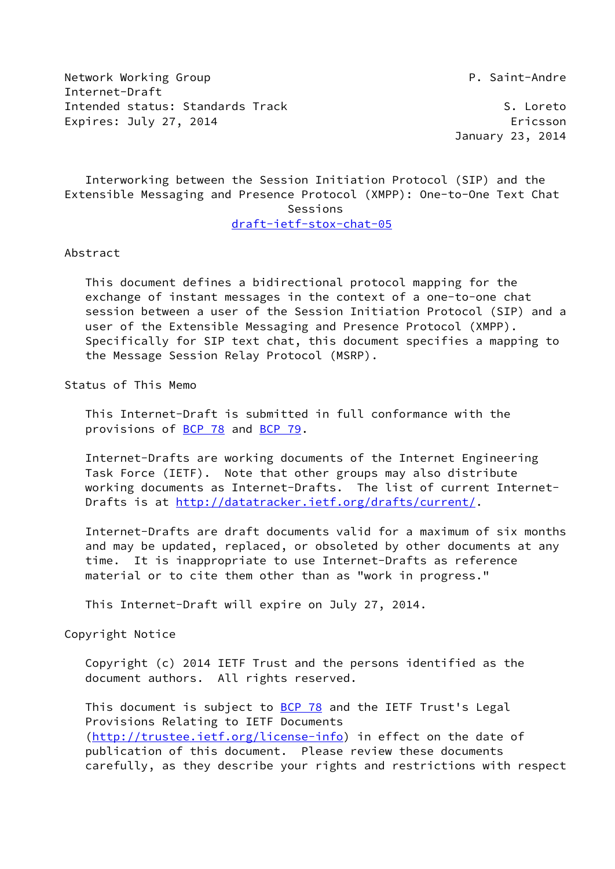Network Working Group **P. Saint-Andre** Internet-Draft Intended status: Standards Track S. Loreto Expires: July 27, 2014 **Expires: 1997** 

January 23, 2014

 Interworking between the Session Initiation Protocol (SIP) and the Extensible Messaging and Presence Protocol (XMPP): One-to-One Text Chat Sessions [draft-ietf-stox-chat-05](https://datatracker.ietf.org/doc/pdf/draft-ietf-stox-chat-05)

Abstract

 This document defines a bidirectional protocol mapping for the exchange of instant messages in the context of a one-to-one chat session between a user of the Session Initiation Protocol (SIP) and a user of the Extensible Messaging and Presence Protocol (XMPP). Specifically for SIP text chat, this document specifies a mapping to the Message Session Relay Protocol (MSRP).

Status of This Memo

 This Internet-Draft is submitted in full conformance with the provisions of [BCP 78](https://datatracker.ietf.org/doc/pdf/bcp78) and [BCP 79](https://datatracker.ietf.org/doc/pdf/bcp79).

 Internet-Drafts are working documents of the Internet Engineering Task Force (IETF). Note that other groups may also distribute working documents as Internet-Drafts. The list of current Internet- Drafts is at<http://datatracker.ietf.org/drafts/current/>.

 Internet-Drafts are draft documents valid for a maximum of six months and may be updated, replaced, or obsoleted by other documents at any time. It is inappropriate to use Internet-Drafts as reference material or to cite them other than as "work in progress."

This Internet-Draft will expire on July 27, 2014.

Copyright Notice

 Copyright (c) 2014 IETF Trust and the persons identified as the document authors. All rights reserved.

This document is subject to **[BCP 78](https://datatracker.ietf.org/doc/pdf/bcp78)** and the IETF Trust's Legal Provisions Relating to IETF Documents [\(http://trustee.ietf.org/license-info](http://trustee.ietf.org/license-info)) in effect on the date of publication of this document. Please review these documents carefully, as they describe your rights and restrictions with respect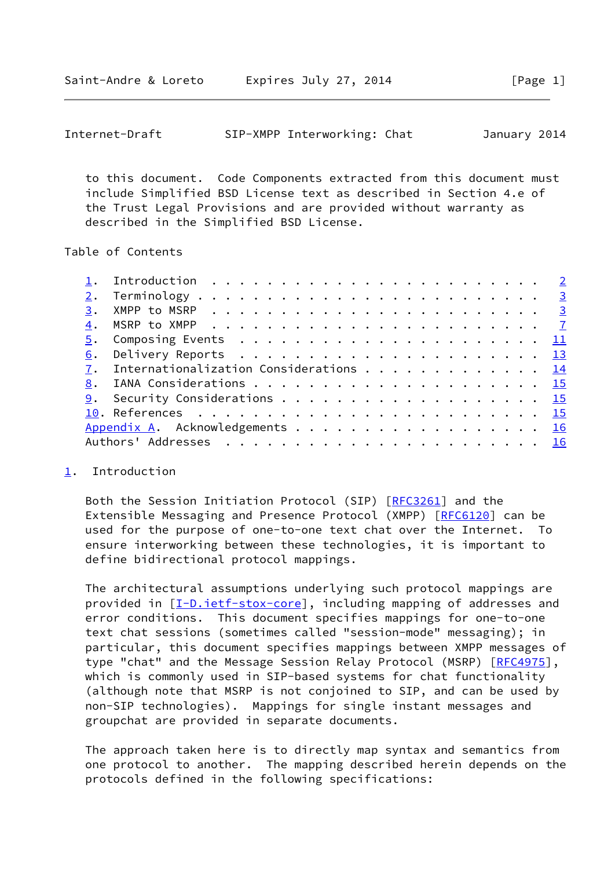<span id="page-1-1"></span>

| Internet-Draft |  | SIP-XMPP Interworking: Chat |  | January 2014 |  |
|----------------|--|-----------------------------|--|--------------|--|
|----------------|--|-----------------------------|--|--------------|--|

 to this document. Code Components extracted from this document must include Simplified BSD License text as described in Section 4.e of the Trust Legal Provisions and are provided without warranty as described in the Simplified BSD License.

Table of Contents

| 4. |                                           |  |  |  |  |  |  |  |  |  |  |  |  |
|----|-------------------------------------------|--|--|--|--|--|--|--|--|--|--|--|--|
|    |                                           |  |  |  |  |  |  |  |  |  |  |  |  |
|    |                                           |  |  |  |  |  |  |  |  |  |  |  |  |
|    | 7. Internationalization Considerations 14 |  |  |  |  |  |  |  |  |  |  |  |  |
|    |                                           |  |  |  |  |  |  |  |  |  |  |  |  |
|    |                                           |  |  |  |  |  |  |  |  |  |  |  |  |
|    |                                           |  |  |  |  |  |  |  |  |  |  |  |  |
|    | Appendix A. Acknowledgements 16           |  |  |  |  |  |  |  |  |  |  |  |  |
|    |                                           |  |  |  |  |  |  |  |  |  |  |  |  |
|    |                                           |  |  |  |  |  |  |  |  |  |  |  |  |

## <span id="page-1-0"></span>[1](#page-1-0). Introduction

Both the Session Initiation Protocol (SIP) [[RFC3261\]](https://datatracker.ietf.org/doc/pdf/rfc3261) and the Extensible Messaging and Presence Protocol (XMPP) [[RFC6120](https://datatracker.ietf.org/doc/pdf/rfc6120)] can be used for the purpose of one-to-one text chat over the Internet. To ensure interworking between these technologies, it is important to define bidirectional protocol mappings.

 The architectural assumptions underlying such protocol mappings are provided in [\[I-D.ietf-stox-core\]](#page-16-2), including mapping of addresses and error conditions. This document specifies mappings for one-to-one text chat sessions (sometimes called "session-mode" messaging); in particular, this document specifies mappings between XMPP messages of type "chat" and the Message Session Relay Protocol (MSRP) [[RFC4975](https://datatracker.ietf.org/doc/pdf/rfc4975)], which is commonly used in SIP-based systems for chat functionality (although note that MSRP is not conjoined to SIP, and can be used by non-SIP technologies). Mappings for single instant messages and groupchat are provided in separate documents.

 The approach taken here is to directly map syntax and semantics from one protocol to another. The mapping described herein depends on the protocols defined in the following specifications: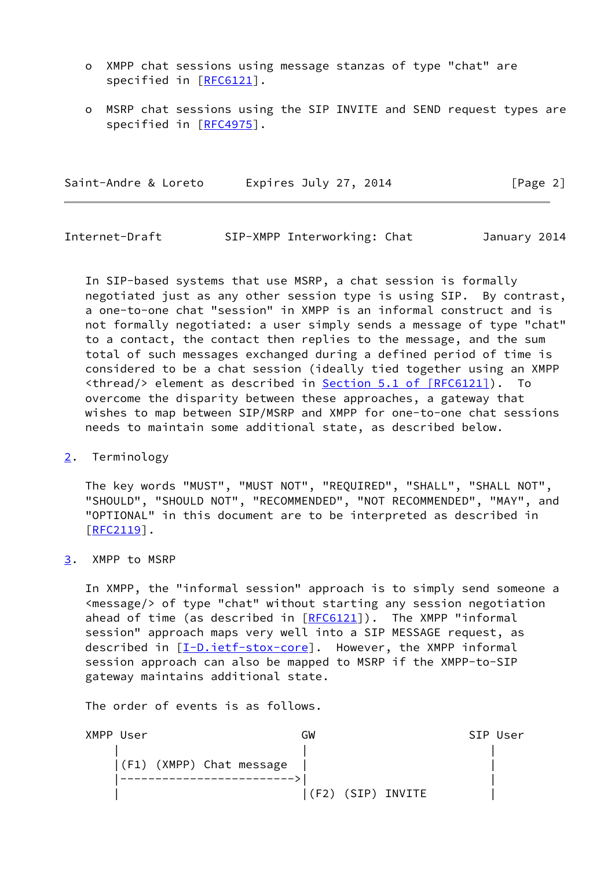- o XMPP chat sessions using message stanzas of type "chat" are specified in [\[RFC6121](https://datatracker.ietf.org/doc/pdf/rfc6121)].
- o MSRP chat sessions using the SIP INVITE and SEND request types are specified in [\[RFC4975](https://datatracker.ietf.org/doc/pdf/rfc4975)].

<span id="page-2-1"></span>

| Saint-Andre & Loreto | Expires July 27, 2014 | [Page 2] |
|----------------------|-----------------------|----------|
|                      |                       |          |

 In SIP-based systems that use MSRP, a chat session is formally negotiated just as any other session type is using SIP. By contrast, a one-to-one chat "session" in XMPP is an informal construct and is not formally negotiated: a user simply sends a message of type "chat" to a contact, the contact then replies to the message, and the sum total of such messages exchanged during a defined period of time is considered to be a chat session (ideally tied together using an XMPP <thread/> element as described in Section [5.1 of \[RFC6121\]](https://datatracker.ietf.org/doc/pdf/rfc6121#section-5.1)). To overcome the disparity between these approaches, a gateway that wishes to map between SIP/MSRP and XMPP for one-to-one chat sessions needs to maintain some additional state, as described below.

<span id="page-2-0"></span>[2](#page-2-0). Terminology

 The key words "MUST", "MUST NOT", "REQUIRED", "SHALL", "SHALL NOT", "SHOULD", "SHOULD NOT", "RECOMMENDED", "NOT RECOMMENDED", "MAY", and "OPTIONAL" in this document are to be interpreted as described in [\[RFC2119](https://datatracker.ietf.org/doc/pdf/rfc2119)].

<span id="page-2-2"></span>[3](#page-2-2). XMPP to MSRP

 In XMPP, the "informal session" approach is to simply send someone a <message/> of type "chat" without starting any session negotiation ahead of time (as described in  $[REG121]$ ). The XMPP "informal session" approach maps very well into a SIP MESSAGE request, as described in [\[I-D.ietf-stox-core\]](#page-16-2). However, the XMPP informal session approach can also be mapped to MSRP if the XMPP-to-SIP gateway maintains additional state.

The order of events is as follows.

| XMPP User |                          | GW                    | SIP User |
|-----------|--------------------------|-----------------------|----------|
|           |                          |                       |          |
|           | (F1) (XMPP) Chat message |                       |          |
|           |                          |                       |          |
|           |                          | (SIP) INVITE<br>( F2) |          |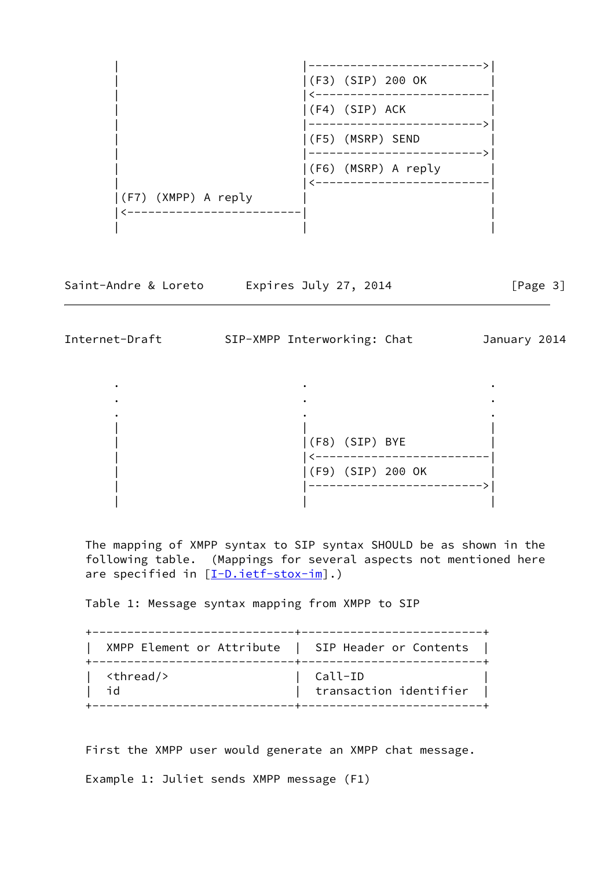

Saint-Andre & Loreto Expires July 27, 2014 [Page 3]

Internet-Draft SIP-XMPP Interworking: Chat January 2014

 . . . . . . . . . | | | | |(F8) (SIP) BYE | | |<-------------------------| | |(F9) (SIP) 200 OK | | |------------------------->| | | |

 The mapping of XMPP syntax to SIP syntax SHOULD be as shown in the following table. (Mappings for several aspects not mentioned here are specified in  $[I-D.iett-stox-im]$ .)

Table 1: Message syntax mapping from XMPP to SIP

 +-----------------------------+--------------------------+ | XMPP Element or Attribute | SIP Header or Contents | +-----------------------------+--------------------------+ | <thread/> | Call-ID | | id | transaction identifier | +-----------------------------+--------------------------+

First the XMPP user would generate an XMPP chat message.

Example 1: Juliet sends XMPP message (F1)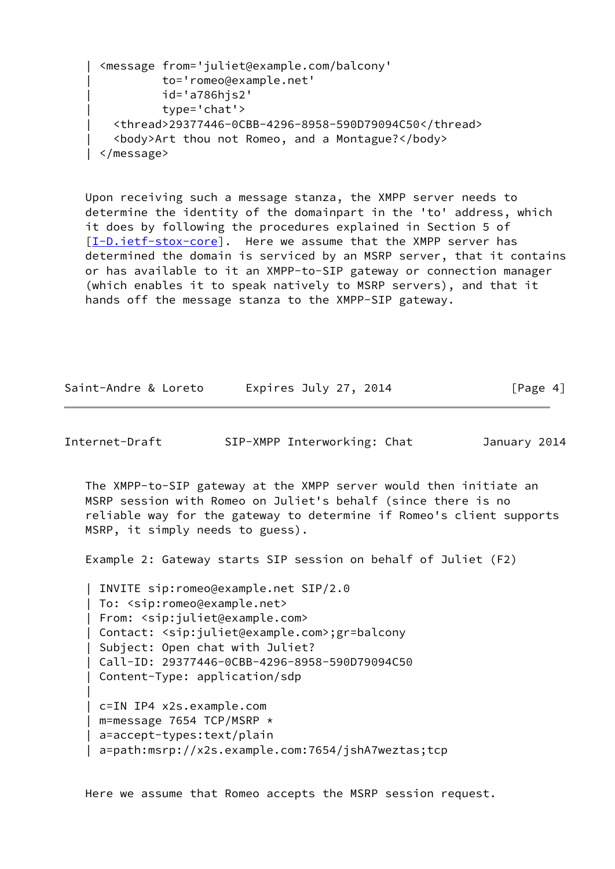```
 | <message from='juliet@example.com/balcony'
           | to='romeo@example.net'
           | id='a786hjs2'
           | type='chat'>
   | <thread>29377446-0CBB-4296-8958-590D79094C50</thread>
   | <body>Art thou not Romeo, and a Montague?</body>
 | </message>
```
 Upon receiving such a message stanza, the XMPP server needs to determine the identity of the domainpart in the 'to' address, which it does by following the procedures explained in Section 5 of [\[I-D.ietf-stox-core\]](#page-16-2). Here we assume that the XMPP server has determined the domain is serviced by an MSRP server, that it contains or has available to it an XMPP-to-SIP gateway or connection manager (which enables it to speak natively to MSRP servers), and that it hands off the message stanza to the XMPP-SIP gateway.

| Saint-Andre & Loreto | Expires July 27, 2014 | [Page 4] |
|----------------------|-----------------------|----------|
|----------------------|-----------------------|----------|

|

Internet-Draft SIP-XMPP Interworking: Chat January 2014

 The XMPP-to-SIP gateway at the XMPP server would then initiate an MSRP session with Romeo on Juliet's behalf (since there is no reliable way for the gateway to determine if Romeo's client supports MSRP, it simply needs to guess).

Example 2: Gateway starts SIP session on behalf of Juliet (F2)

 | INVITE sip:romeo@example.net SIP/2.0 | To: <sip:romeo@example.net> | From: <sip:juliet@example.com> | Contact: <sip:juliet@example.com>;gr=balcony | Subject: Open chat with Juliet? | Call-ID: 29377446-0CBB-4296-8958-590D79094C50 | Content-Type: application/sdp | c=IN IP4 x2s.example.com

 | m=message 7654 TCP/MSRP \* | a=accept-types:text/plain | a=path:msrp://x2s.example.com:7654/jshA7weztas;tcp

Here we assume that Romeo accepts the MSRP session request.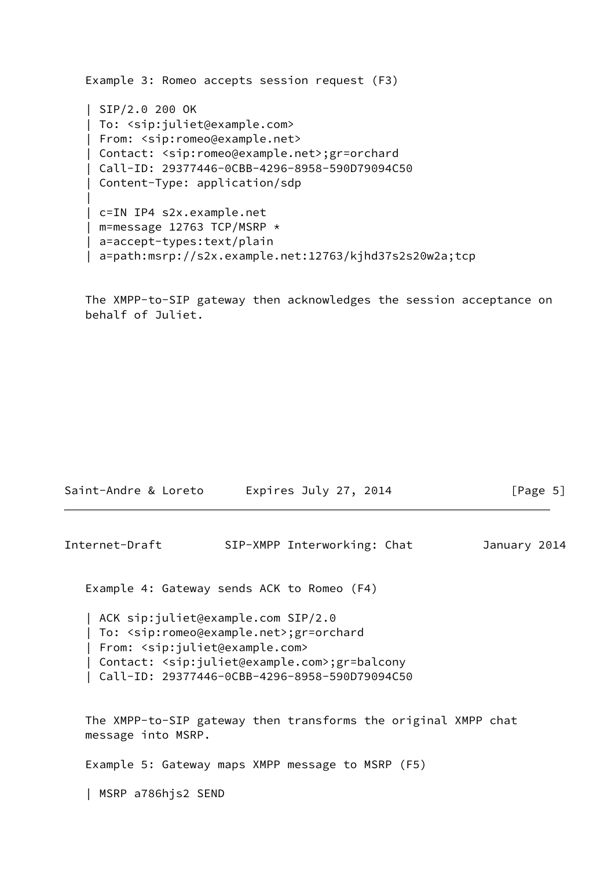```
 Example 3: Romeo accepts session request (F3)
    | SIP/2.0 200 OK
    | To: <sip:juliet@example.com>
    | From: <sip:romeo@example.net>
    | Contact: <sip:romeo@example.net>;gr=orchard
    | Call-ID: 29377446-0CBB-4296-8958-590D79094C50
    | Content-Type: application/sdp
 |
    | c=IN IP4 s2x.example.net
    | m=message 12763 TCP/MSRP *
    | a=accept-types:text/plain
    | a=path:msrp://s2x.example.net:12763/kjhd37s2s20w2a;tcp
```
 The XMPP-to-SIP gateway then acknowledges the session acceptance on behalf of Juliet.

| Internet-Draft | SIP-XMPP Interworking: Chat                                                                                                                                                                                                                                                                                                                                                           | January 2014 |
|----------------|---------------------------------------------------------------------------------------------------------------------------------------------------------------------------------------------------------------------------------------------------------------------------------------------------------------------------------------------------------------------------------------|--------------|
|                | Example 4: Gateway sends ACK to Romeo (F4)                                                                                                                                                                                                                                                                                                                                            |              |
|                | ACK sip:juliet@example.com SIP/2.0  <br>  To: <sip:romeo@example.net>;gr=orchard<br/>From: <sip:juliet@example.com><br/><math>C</math> and <math>A</math> and <math>A</math> and <math>A</math> and <math>A</math> and <math>A</math> and <math>A</math> and <math>A</math> and <math>A</math> and <math>A</math> and <math>A</math></sip:juliet@example.com></sip:romeo@example.net> |              |

Saint-Andre & Loreto Expires July 27, 2014 [Page 5]

| Contact: <sip:juliet@example.com>;gr=balcony

| Call-ID: 29377446-0CBB-4296-8958-590D79094C50

 The XMPP-to-SIP gateway then transforms the original XMPP chat message into MSRP.

Example 5: Gateway maps XMPP message to MSRP (F5)

| MSRP a786hjs2 SEND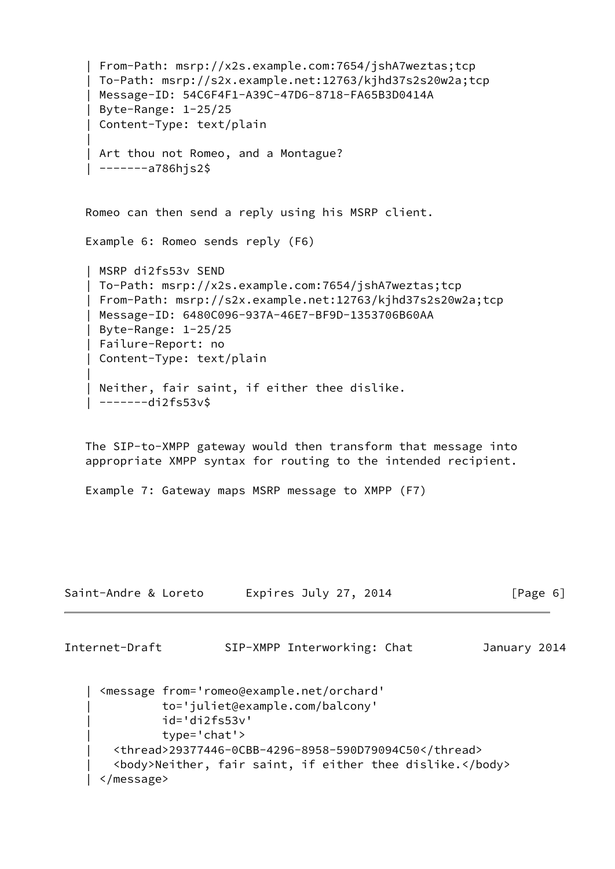```
 | From-Path: msrp://x2s.example.com:7654/jshA7weztas;tcp
    | To-Path: msrp://s2x.example.net:12763/kjhd37s2s20w2a;tcp
    | Message-ID: 54C6F4F1-A39C-47D6-8718-FA65B3D0414A
    | Byte-Range: 1-25/25
    | Content-Type: text/plain
 |
   | Art thou not Romeo, and a Montague?
     | -------a786hjs2$
   Romeo can then send a reply using his MSRP client.
   Example 6: Romeo sends reply (F6)
    | MSRP di2fs53v SEND
    | To-Path: msrp://x2s.example.com:7654/jshA7weztas;tcp
    | From-Path: msrp://s2x.example.net:12763/kjhd37s2s20w2a;tcp
    | Message-ID: 6480C096-937A-46E7-BF9D-1353706B60AA
    | Byte-Range: 1-25/25
    | Failure-Report: no
    | Content-Type: text/plain
 |
   Neither, fair saint, if either thee dislike.
     | -------di2fs53v$
   The SIP-to-XMPP gateway would then transform that message into
    appropriate XMPP syntax for routing to the intended recipient.
   Example 7: Gateway maps MSRP message to XMPP (F7)
Saint-Andre & Loreto Expires July 27, 2014 [Page 6]
Internet-Draft SIP-XMPP Interworking: Chat January 2014
```

```
 | <message from='romeo@example.net/orchard'
           | to='juliet@example.com/balcony'
           | id='di2fs53v'
           | type='chat'>
   | <thread>29377446-0CBB-4296-8958-590D79094C50</thread>
   | <body>Neither, fair saint, if either thee dislike.</body>
 | </message>
```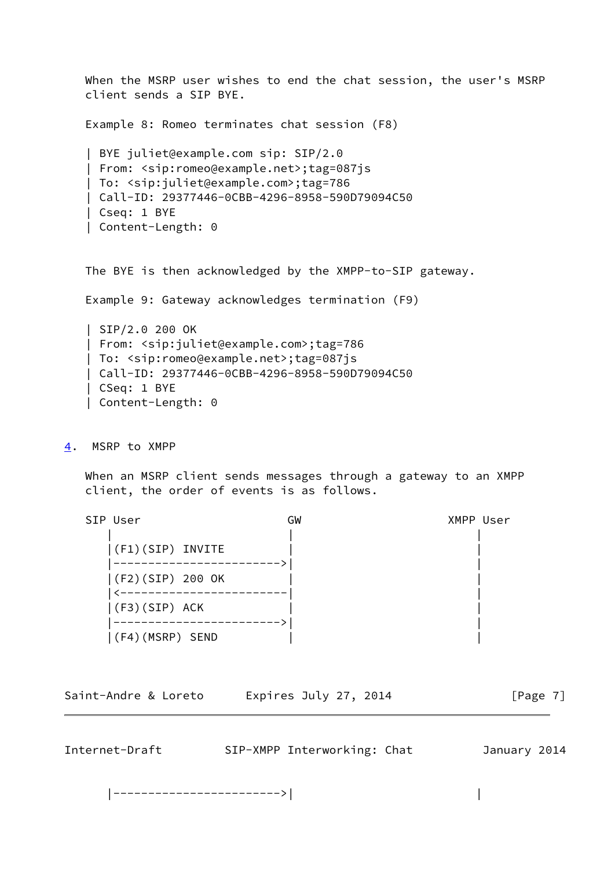When the MSRP user wishes to end the chat session, the user's MSRP client sends a SIP BYE.

Example 8: Romeo terminates chat session (F8)

```
 | BYE juliet@example.com sip: SIP/2.0
 | From: <sip:romeo@example.net>;tag=087js
 | To: <sip:juliet@example.com>;tag=786
 | Call-ID: 29377446-0CBB-4296-8958-590D79094C50
 | Cseq: 1 BYE
 | Content-Length: 0
```
The BYE is then acknowledged by the XMPP-to-SIP gateway.

Example 9: Gateway acknowledges termination (F9)

 | SIP/2.0 200 OK | From: <sip:juliet@example.com>;tag=786 | To: <sip:romeo@example.net>;tag=087js | Call-ID: 29377446-0CBB-4296-8958-590D79094C50 | CSeq: 1 BYE | Content-Length: 0

## <span id="page-7-0"></span>[4](#page-7-0). MSRP to XMPP

 When an MSRP client sends messages through a gateway to an XMPP client, the order of events is as follows.

| SIP User            | GW | XMPP User |
|---------------------|----|-----------|
|                     |    |           |
| $ (F1)(SIP)$ INVITE |    |           |
|                     |    |           |
| (F2)(SIP) 200 OK    |    |           |
|                     |    |           |
| $ (F3)(SIP)$ ACK    |    |           |
|                     |    |           |
| (F4)(MSRP) SEND     |    |           |

|  | Saint-Andre & Loreto | Expires July 27, 2014 | [Page 7] |
|--|----------------------|-----------------------|----------|
|--|----------------------|-----------------------|----------|

| Internet-Draft | SIP-XMPP Interworking: Chat | January 2014 |  |
|----------------|-----------------------------|--------------|--|
|                |                             |              |  |

|------------------------>| |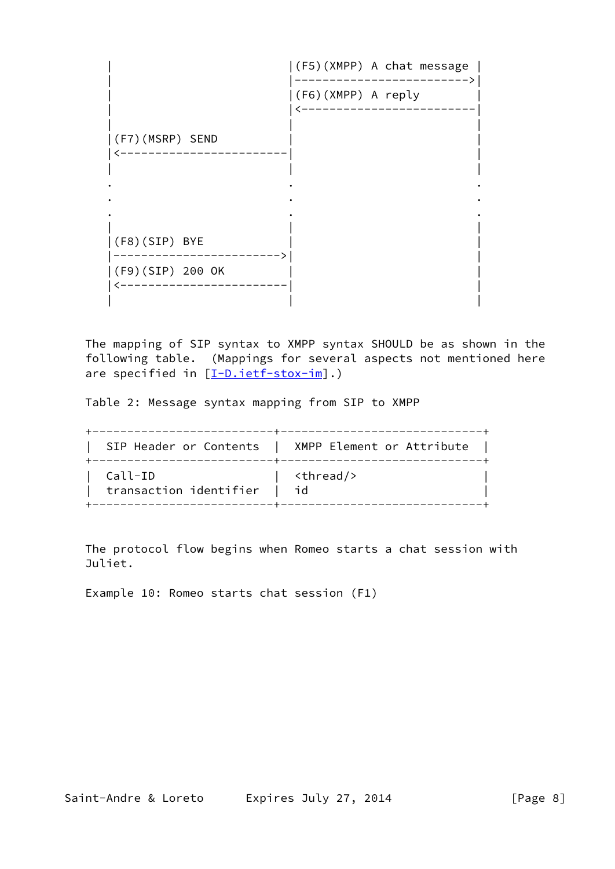

 The mapping of SIP syntax to XMPP syntax SHOULD be as shown in the following table. (Mappings for several aspects not mentioned here are specified in  $[I-D.iett-stox-im]$ .)

Table 2: Message syntax mapping from SIP to XMPP

|                        | SIP Header or Contents   XMPP Element or Attribute |
|------------------------|----------------------------------------------------|
| Call-ID                | <thread></thread>                                  |
| transaction identifier | l id                                               |

 The protocol flow begins when Romeo starts a chat session with Juliet.

Example 10: Romeo starts chat session (F1)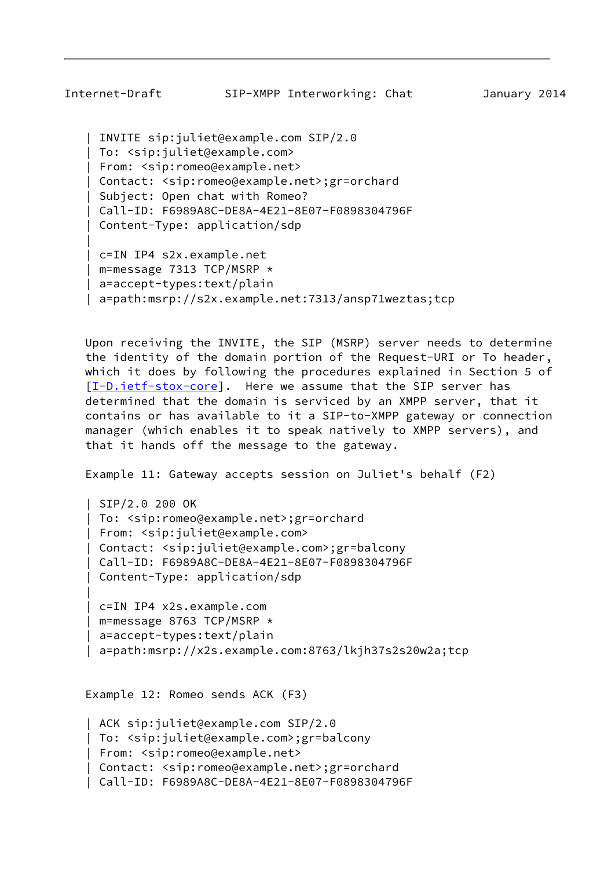```
 | INVITE sip:juliet@example.com SIP/2.0
 | To: <sip:juliet@example.com>
 | From: <sip:romeo@example.net>
 | Contact: <sip:romeo@example.net>;gr=orchard
 | Subject: Open chat with Romeo?
 | Call-ID: F6989A8C-DE8A-4E21-8E07-F0898304796F
 | Content-Type: application/sdp
 | c=IN IP4 s2x.example.net
 | m=message 7313 TCP/MSRP *
 | a=accept-types:text/plain
```
|

| a=path:msrp://s2x.example.net:7313/ansp71weztas;tcp

 Upon receiving the INVITE, the SIP (MSRP) server needs to determine the identity of the domain portion of the Request-URI or To header, which it does by following the procedures explained in Section 5 of [\[I-D.ietf-stox-core\]](#page-16-2). Here we assume that the SIP server has determined that the domain is serviced by an XMPP server, that it contains or has available to it a SIP-to-XMPP gateway or connection manager (which enables it to speak natively to XMPP servers), and that it hands off the message to the gateway.

Example 11: Gateway accepts session on Juliet's behalf (F2)

```
 | SIP/2.0 200 OK
    | To: <sip:romeo@example.net>;gr=orchard
    | From: <sip:juliet@example.com>
    | Contact: <sip:juliet@example.com>;gr=balcony
    | Call-ID: F6989A8C-DE8A-4E21-8E07-F0898304796F
    | Content-Type: application/sdp
 |
    | c=IN IP4 x2s.example.com
    | m=message 8763 TCP/MSRP *
```
| a=path:msrp://x2s.example.com:8763/lkjh37s2s20w2a;tcp

Example 12: Romeo sends ACK (F3)

| a=accept-types:text/plain

```
 | ACK sip:juliet@example.com SIP/2.0
 | To: <sip:juliet@example.com>;gr=balcony
 | From: <sip:romeo@example.net>
 | Contact: <sip:romeo@example.net>;gr=orchard
 | Call-ID: F6989A8C-DE8A-4E21-8E07-F0898304796F
```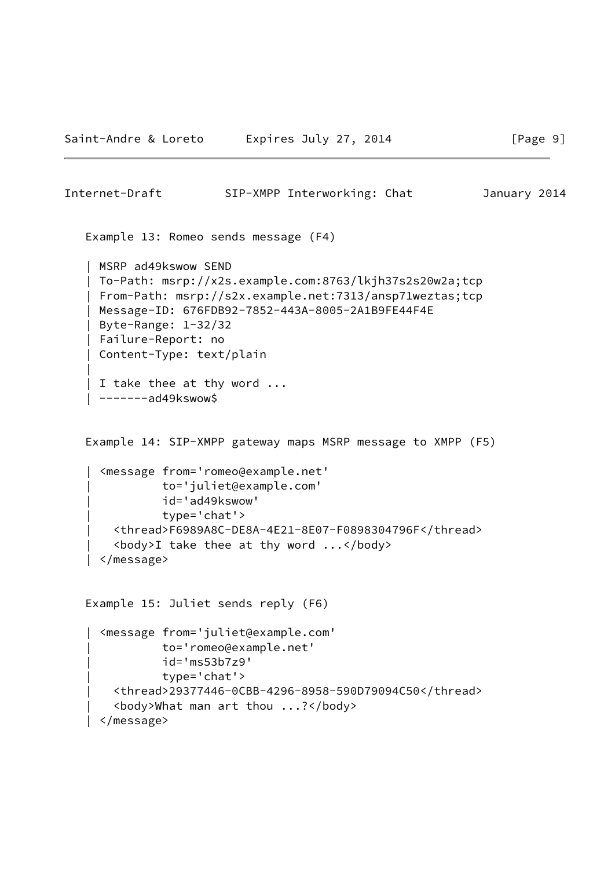```
 Example 13: Romeo sends message (F4)
    | MSRP ad49kswow SEND
    | To-Path: msrp://x2s.example.com:8763/lkjh37s2s20w2a;tcp
    | From-Path: msrp://s2x.example.net:7313/ansp71weztas;tcp
    | Message-ID: 676FDB92-7852-443A-8005-2A1B9FE44F4E
    | Byte-Range: 1-32/32
    | Failure-Report: no
    | Content-Type: text/plain
 |
    | I take thee at thy word ...
    | -------ad49kswow$
    Example 14: SIP-XMPP gateway maps MSRP message to XMPP (F5)
      | <message from='romeo@example.net'
               | to='juliet@example.com'
               | id='ad49kswow'
               | type='chat'>
        | <thread>F6989A8C-DE8A-4E21-8E07-F0898304796F</thread>
        | <body>I take thee at thy word ...</body>
     | </message>
   Example 15: Juliet sends reply (F6)
```

```
 | <message from='juliet@example.com'
           | to='romeo@example.net'
           | id='ms53b7z9'
           | type='chat'>
   | <thread>29377446-0CBB-4296-8958-590D79094C50</thread>
   | <body>What man art thou ...?</body>
 | </message>
```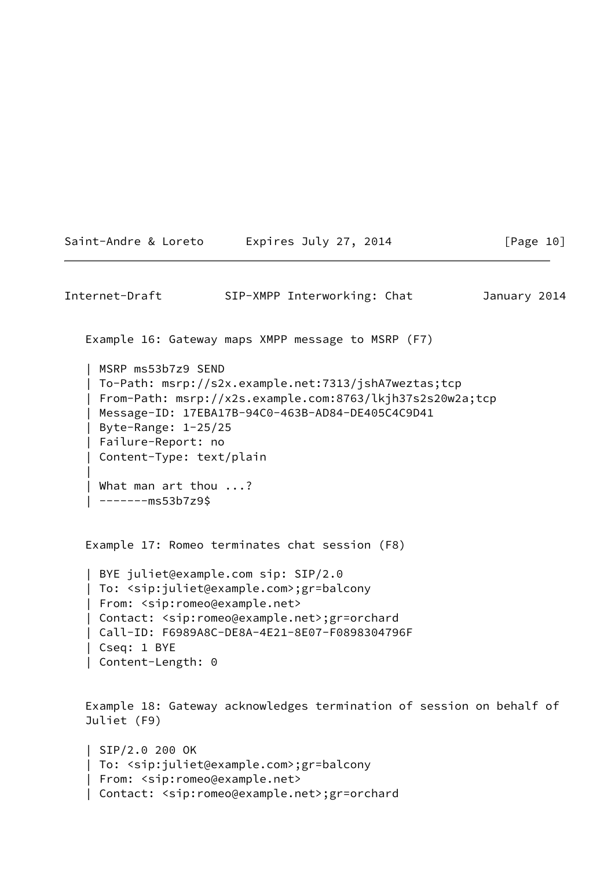Saint-Andre & Loreto Expires July 27, 2014 [Page 10]

<span id="page-11-0"></span>Internet-Draft SIP-XMPP Interworking: Chat January 2014 Example 16: Gateway maps XMPP message to MSRP (F7) | MSRP ms53b7z9 SEND | To-Path: msrp://s2x.example.net:7313/jshA7weztas;tcp | From-Path: msrp://x2s.example.com:8763/lkjh37s2s20w2a;tcp | Message-ID: 17EBA17B-94C0-463B-AD84-DE405C4C9D41 | Byte-Range: 1-25/25 | Failure-Report: no | Content-Type: text/plain | | What man art thou ...?  $|$  -------ms53b7z9\$ Example 17: Romeo terminates chat session (F8) | BYE juliet@example.com sip: SIP/2.0 | To: <sip:juliet@example.com>;gr=balcony | From: <sip:romeo@example.net> | Contact: <sip:romeo@example.net>;gr=orchard | Call-ID: F6989A8C-DE8A-4E21-8E07-F0898304796F | Cseq: 1 BYE | Content-Length: 0 Example 18: Gateway acknowledges termination of session on behalf of Juliet (F9) | SIP/2.0 200 OK | To: <sip:juliet@example.com>;gr=balcony

```
 | From: <sip:romeo@example.net>
 | Contact: <sip:romeo@example.net>;gr=orchard
```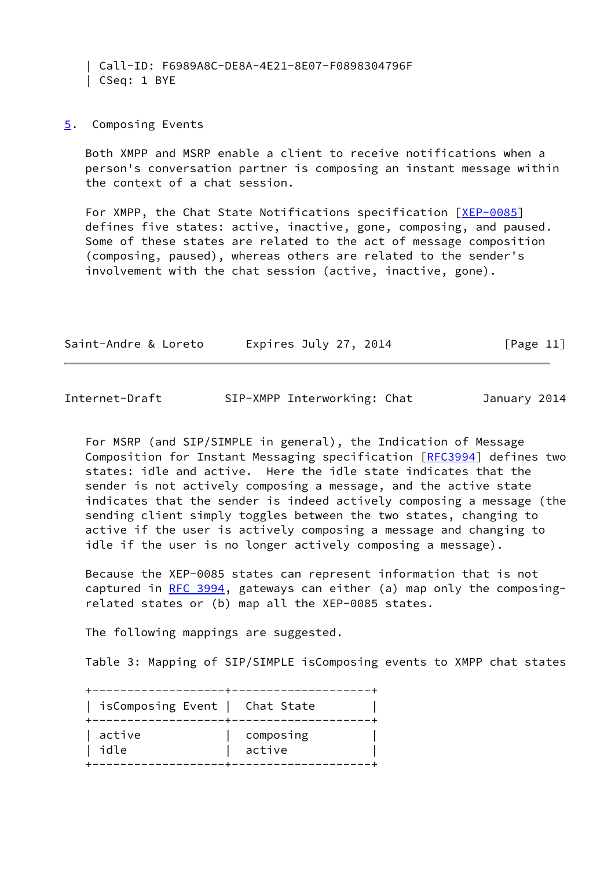| Call-ID: F6989A8C-DE8A-4E21-8E07-F0898304796F | CSeq: 1 BYE

## <span id="page-12-0"></span>[5](#page-12-0). Composing Events

 Both XMPP and MSRP enable a client to receive notifications when a person's conversation partner is composing an instant message within the context of a chat session.

For XMPP, the Chat State Notifications specification [\[XEP-0085](#page-17-3)] defines five states: active, inactive, gone, composing, and paused. Some of these states are related to the act of message composition (composing, paused), whereas others are related to the sender's involvement with the chat session (active, inactive, gone).

| Saint-Andre & Loreto | Expires July 27, 2014 | [Page 11] |
|----------------------|-----------------------|-----------|
|                      |                       |           |

| Internet-Draft |  | SIP-XMPP Interworking: Chat | January 2014 |  |
|----------------|--|-----------------------------|--------------|--|
|----------------|--|-----------------------------|--------------|--|

 For MSRP (and SIP/SIMPLE in general), the Indication of Message Composition for Instant Messaging specification [\[RFC3994](https://datatracker.ietf.org/doc/pdf/rfc3994)] defines two states: idle and active. Here the idle state indicates that the sender is not actively composing a message, and the active state indicates that the sender is indeed actively composing a message (the sending client simply toggles between the two states, changing to active if the user is actively composing a message and changing to idle if the user is no longer actively composing a message).

 Because the XEP-0085 states can represent information that is not captured in [RFC 3994,](https://datatracker.ietf.org/doc/pdf/rfc3994) gateways can either (a) map only the composing related states or (b) map all the XEP-0085 states.

The following mappings are suggested.

Table 3: Mapping of SIP/SIMPLE isComposing events to XMPP chat states

| isComposing Event   Chat State |           |
|--------------------------------|-----------|
| active                         | composing |
| idle                           | active    |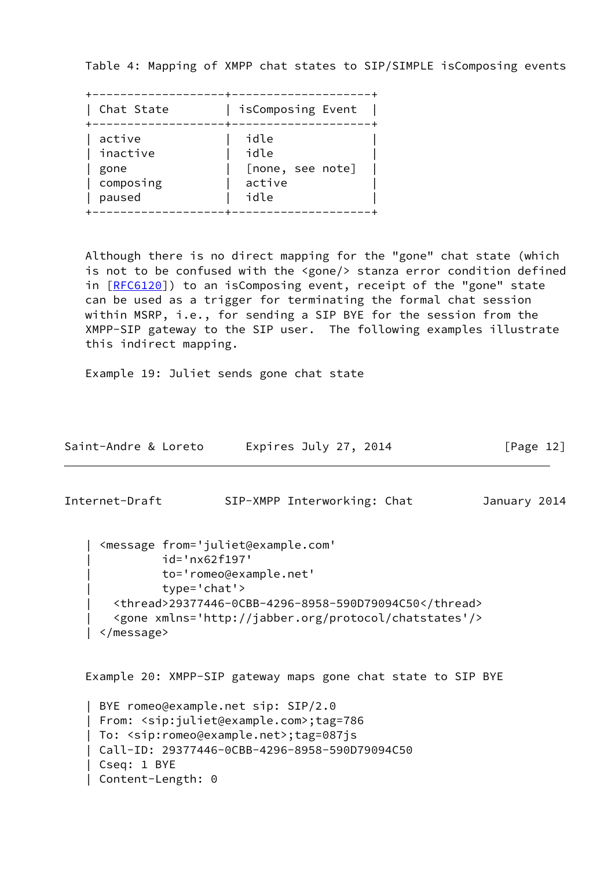Table 4: Mapping of XMPP chat states to SIP/SIMPLE isComposing events

| Chat State | isComposing Event |
|------------|-------------------|
| active     | idle              |
| inactive   | idle              |
| gone       | [none, see note]  |
| composing  | active            |
| paused     | idle              |

 Although there is no direct mapping for the "gone" chat state (which is not to be confused with the <gone/> stanza error condition defined in [[RFC6120\]](https://datatracker.ietf.org/doc/pdf/rfc6120)) to an isComposing event, receipt of the "gone" state can be used as a trigger for terminating the formal chat session within MSRP, i.e., for sending a SIP BYE for the session from the XMPP-SIP gateway to the SIP user. The following examples illustrate this indirect mapping.

Example 19: Juliet sends gone chat state

| Saint-Andre & Loreto | Expires July 27, 2014 | [Page 12] |
|----------------------|-----------------------|-----------|
|----------------------|-----------------------|-----------|

<span id="page-13-0"></span>Internet-Draft SIP-XMPP Interworking: Chat January 2014

```
 | <message from='juliet@example.com'
           | id='nx62f197'
           | to='romeo@example.net'
           | type='chat'>
   | <thread>29377446-0CBB-4296-8958-590D79094C50</thread>
   | <gone xmlns='http://jabber.org/protocol/chatstates'/>
 | </message>
```
Example 20: XMPP-SIP gateway maps gone chat state to SIP BYE

```
 | BYE romeo@example.net sip: SIP/2.0
 | From: <sip:juliet@example.com>;tag=786
 | To: <sip:romeo@example.net>;tag=087js
 | Call-ID: 29377446-0CBB-4296-8958-590D79094C50
 | Cseq: 1 BYE
 | Content-Length: 0
```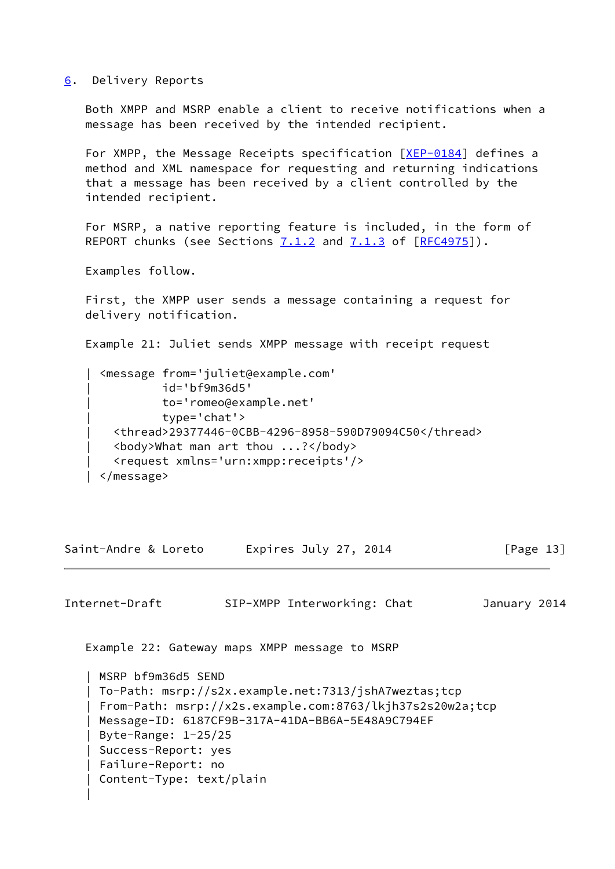### <span id="page-14-0"></span>[6](#page-14-0). Delivery Reports

 Both XMPP and MSRP enable a client to receive notifications when a message has been received by the intended recipient.

 For XMPP, the Message Receipts specification [\[XEP-0184](#page-17-4)] defines a method and XML namespace for requesting and returning indications that a message has been received by a client controlled by the intended recipient.

 For MSRP, a native reporting feature is included, in the form of REPORT chunks (see Sections  $7.1.2$  and  $7.1.3$  of  $[REC4975]$ ).

Examples follow.

|

 First, the XMPP user sends a message containing a request for delivery notification.

Example 21: Juliet sends XMPP message with receipt request

 | <message from='juliet@example.com' | id='bf9m36d5' | to='romeo@example.net' | type='chat'> | <thread>29377446-0CBB-4296-8958-590D79094C50</thread> | <body>What man art thou ...?</body> | <request xmlns='urn:xmpp:receipts'/> | </message>

Saint-Andre & Loreto Expires July 27, 2014 [Page 13]

<span id="page-14-1"></span>Internet-Draft SIP-XMPP Interworking: Chat January 2014

Example 22: Gateway maps XMPP message to MSRP

 | MSRP bf9m36d5 SEND | To-Path: msrp://s2x.example.net:7313/jshA7weztas;tcp | From-Path: msrp://x2s.example.com:8763/lkjh37s2s20w2a;tcp | Message-ID: 6187CF9B-317A-41DA-BB6A-5E48A9C794EF | Byte-Range: 1-25/25 | Success-Report: yes | Failure-Report: no | Content-Type: text/plain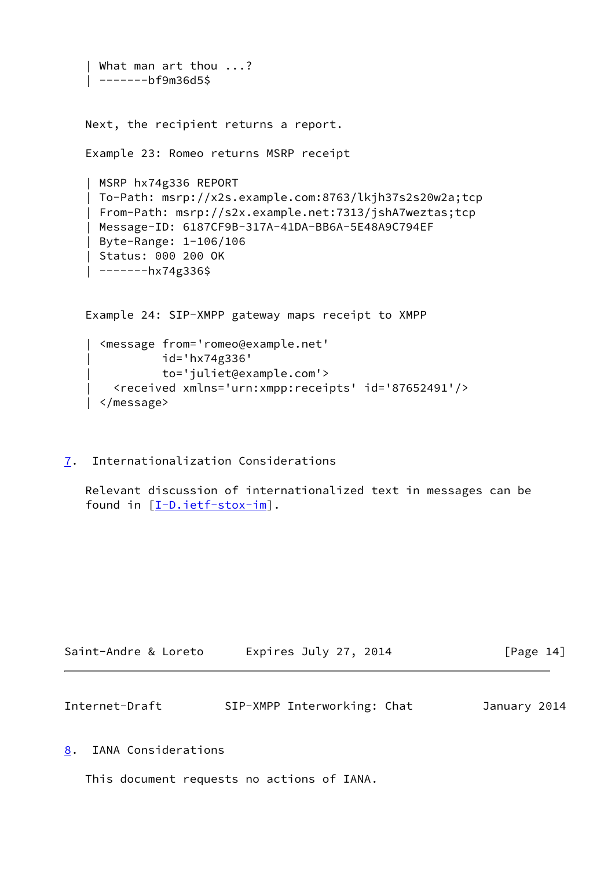```
 | What man art thou ...?
 | -------bf9m36d5$
 Next, the recipient returns a report.
 Example 23: Romeo returns MSRP receipt
 | MSRP hx74g336 REPORT
 | To-Path: msrp://x2s.example.com:8763/lkjh37s2s20w2a;tcp
 | From-Path: msrp://s2x.example.net:7313/jshA7weztas;tcp
 | Message-ID: 6187CF9B-317A-41DA-BB6A-5E48A9C794EF
 | Byte-Range: 1-106/106
 | Status: 000 200 OK
| -------hx74g336$
 Example 24: SIP-XMPP gateway maps receipt to XMPP
   | <message from='romeo@example.net'
            | id='hx74g336'
            | to='juliet@example.com'>
     | <received xmlns='urn:xmpp:receipts' id='87652491'/>
```
- | </message>
- <span id="page-15-0"></span>[7](#page-15-0). Internationalization Considerations

 Relevant discussion of internationalized text in messages can be found in [\[I-D.ietf-stox-im](#page-17-2)].

| Saint-Andre & Loreto | Expires July 27, 2014 | [Page 14] |
|----------------------|-----------------------|-----------|
|                      |                       |           |

<span id="page-15-2"></span>

| Internet-Draft |  | SIP-XMPP Interworking: Chat | January 2014 |  |
|----------------|--|-----------------------------|--------------|--|
|----------------|--|-----------------------------|--------------|--|

<span id="page-15-1"></span>[8](#page-15-1). IANA Considerations

This document requests no actions of IANA.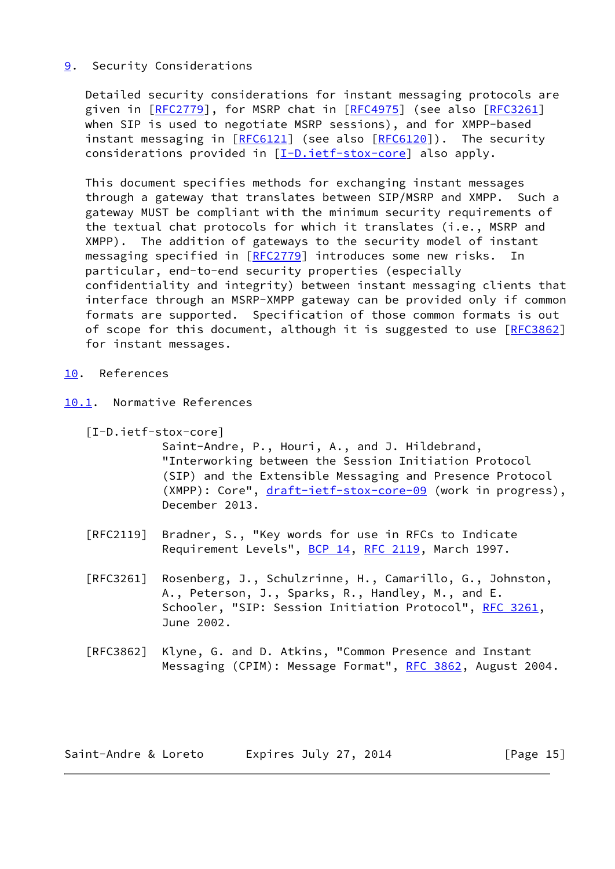# <span id="page-16-0"></span>[9](#page-16-0). Security Considerations

 Detailed security considerations for instant messaging protocols are given in [\[RFC2779](https://datatracker.ietf.org/doc/pdf/rfc2779)], for MSRP chat in [\[RFC4975](https://datatracker.ietf.org/doc/pdf/rfc4975)] (see also [\[RFC3261](https://datatracker.ietf.org/doc/pdf/rfc3261)] when SIP is used to negotiate MSRP sessions), and for XMPP-based instant messaging in [\[RFC6121](https://datatracker.ietf.org/doc/pdf/rfc6121)] (see also [\[RFC6120](https://datatracker.ietf.org/doc/pdf/rfc6120)]). The security considerations provided in [[I-D.ietf-stox-core\]](#page-16-2) also apply.

 This document specifies methods for exchanging instant messages through a gateway that translates between SIP/MSRP and XMPP. Such a gateway MUST be compliant with the minimum security requirements of the textual chat protocols for which it translates (i.e., MSRP and XMPP). The addition of gateways to the security model of instant messaging specified in [\[RFC2779](https://datatracker.ietf.org/doc/pdf/rfc2779)] introduces some new risks. In particular, end-to-end security properties (especially confidentiality and integrity) between instant messaging clients that interface through an MSRP-XMPP gateway can be provided only if common formats are supported. Specification of those common formats is out of scope for this document, although it is suggested to use [\[RFC3862](https://datatracker.ietf.org/doc/pdf/rfc3862)] for instant messages.

## <span id="page-16-1"></span>[10.](#page-16-1) References

- <span id="page-16-3"></span><span id="page-16-2"></span>[10.1](#page-16-3). Normative References
	- [I-D.ietf-stox-core]

 Saint-Andre, P., Houri, A., and J. Hildebrand, "Interworking between the Session Initiation Protocol (SIP) and the Extensible Messaging and Presence Protocol (XMPP): Core", [draft-ietf-stox-core-09](https://datatracker.ietf.org/doc/pdf/draft-ietf-stox-core-09) (work in progress), December 2013.

- [RFC2119] Bradner, S., "Key words for use in RFCs to Indicate Requirement Levels", [BCP 14](https://datatracker.ietf.org/doc/pdf/bcp14), [RFC 2119](https://datatracker.ietf.org/doc/pdf/rfc2119), March 1997.
- [RFC3261] Rosenberg, J., Schulzrinne, H., Camarillo, G., Johnston, A., Peterson, J., Sparks, R., Handley, M., and E. Schooler, "SIP: Session Initiation Protocol", [RFC 3261](https://datatracker.ietf.org/doc/pdf/rfc3261), June 2002.
- [RFC3862] Klyne, G. and D. Atkins, "Common Presence and Instant Messaging (CPIM): Message Format", [RFC 3862](https://datatracker.ietf.org/doc/pdf/rfc3862), August 2004.

| Saint-Andre & Loreto | Expires July 27, 2014 | [Page 15] |
|----------------------|-----------------------|-----------|
|----------------------|-----------------------|-----------|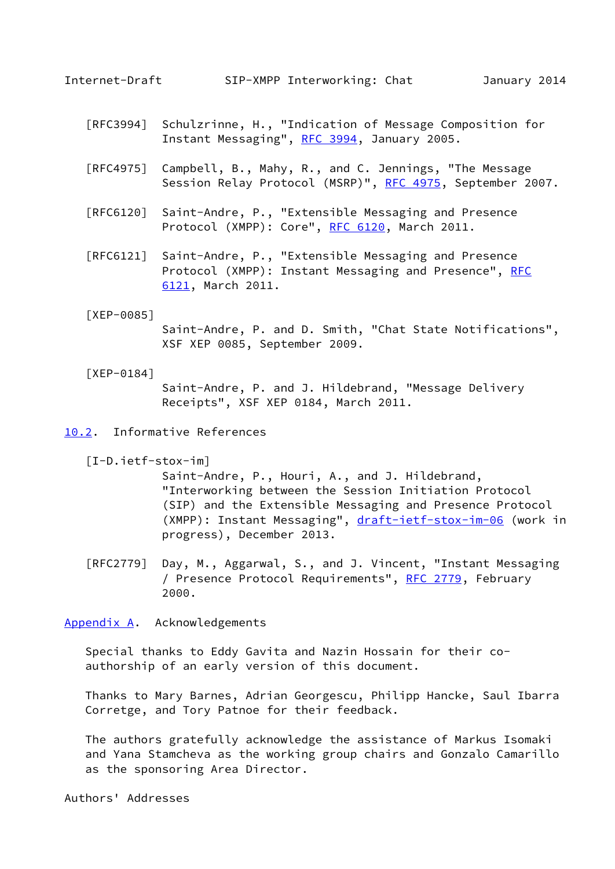<span id="page-17-1"></span>

- [RFC3994] Schulzrinne, H., "Indication of Message Composition for Instant Messaging", [RFC 3994,](https://datatracker.ietf.org/doc/pdf/rfc3994) January 2005.
- [RFC4975] Campbell, B., Mahy, R., and C. Jennings, "The Message Session Relay Protocol (MSRP)", [RFC 4975,](https://datatracker.ietf.org/doc/pdf/rfc4975) September 2007.
- [RFC6120] Saint-Andre, P., "Extensible Messaging and Presence Protocol (XMPP): Core", [RFC 6120,](https://datatracker.ietf.org/doc/pdf/rfc6120) March 2011.
- [RFC6121] Saint-Andre, P., "Extensible Messaging and Presence Protocol (XMPP): Instant Messaging and Presence", [RFC](https://datatracker.ietf.org/doc/pdf/rfc6121) [6121,](https://datatracker.ietf.org/doc/pdf/rfc6121) March 2011.

#### <span id="page-17-3"></span>[XEP-0085]

 Saint-Andre, P. and D. Smith, "Chat State Notifications", XSF XEP 0085, September 2009.

### <span id="page-17-4"></span>[XEP-0184]

 Saint-Andre, P. and J. Hildebrand, "Message Delivery Receipts", XSF XEP 0184, March 2011.

<span id="page-17-5"></span>[10.2](#page-17-5). Informative References

<span id="page-17-2"></span>[I-D.ietf-stox-im]

 Saint-Andre, P., Houri, A., and J. Hildebrand, "Interworking between the Session Initiation Protocol (SIP) and the Extensible Messaging and Presence Protocol (XMPP): Instant Messaging", [draft-ietf-stox-im-06](https://datatracker.ietf.org/doc/pdf/draft-ietf-stox-im-06) (work in progress), December 2013.

 [RFC2779] Day, M., Aggarwal, S., and J. Vincent, "Instant Messaging / Presence Protocol Requirements", [RFC 2779](https://datatracker.ietf.org/doc/pdf/rfc2779), February 2000.

<span id="page-17-0"></span>[Appendix A.](#page-17-0) Acknowledgements

 Special thanks to Eddy Gavita and Nazin Hossain for their co authorship of an early version of this document.

 Thanks to Mary Barnes, Adrian Georgescu, Philipp Hancke, Saul Ibarra Corretge, and Tory Patnoe for their feedback.

 The authors gratefully acknowledge the assistance of Markus Isomaki and Yana Stamcheva as the working group chairs and Gonzalo Camarillo as the sponsoring Area Director.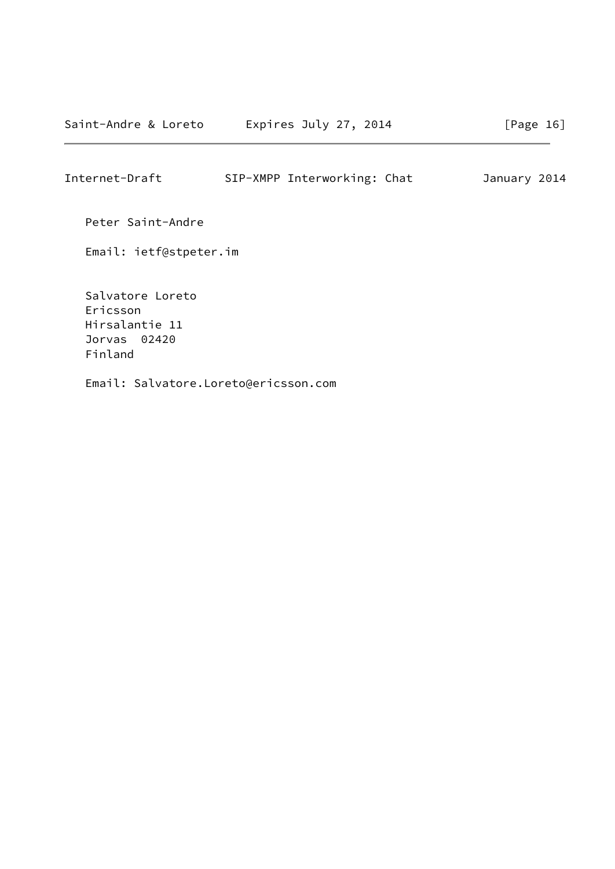Peter Saint-Andre

Email: ietf@stpeter.im

 Salvatore Loreto Ericsson Hirsalantie 11 Jorvas 02420 Finland

Email: Salvatore.Loreto@ericsson.com